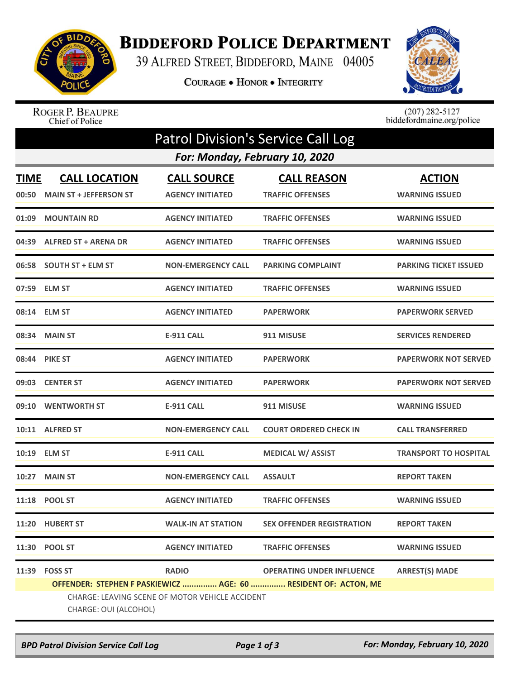

## **BIDDEFORD POLICE DEPARTMENT**

39 ALFRED STREET, BIDDEFORD, MAINE 04005

COURAGE . HONOR . INTEGRITY



## ROGER P. BEAUPRE<br>Chief of Police

 $(207)$  282-5127<br>biddefordmaine.org/police

| <b>Patrol Division's Service Call Log</b> |                                                                          |                                               |                                                                 |                                        |  |  |  |  |
|-------------------------------------------|--------------------------------------------------------------------------|-----------------------------------------------|-----------------------------------------------------------------|----------------------------------------|--|--|--|--|
| For: Monday, February 10, 2020            |                                                                          |                                               |                                                                 |                                        |  |  |  |  |
| <b>TIME</b><br>00:50                      | <b>CALL LOCATION</b><br><b>MAIN ST + JEFFERSON ST</b>                    | <b>CALL SOURCE</b><br><b>AGENCY INITIATED</b> | <b>CALL REASON</b><br><b>TRAFFIC OFFENSES</b>                   | <b>ACTION</b><br><b>WARNING ISSUED</b> |  |  |  |  |
| 01:09                                     | <b>MOUNTAIN RD</b>                                                       | <b>AGENCY INITIATED</b>                       | <b>TRAFFIC OFFENSES</b>                                         | <b>WARNING ISSUED</b>                  |  |  |  |  |
| 04:39                                     | <b>ALFRED ST + ARENA DR</b>                                              | <b>AGENCY INITIATED</b>                       | <b>TRAFFIC OFFENSES</b>                                         | <b>WARNING ISSUED</b>                  |  |  |  |  |
|                                           | 06:58 SOUTH ST + ELM ST                                                  | <b>NON-EMERGENCY CALL</b>                     | <b>PARKING COMPLAINT</b>                                        | <b>PARKING TICKET ISSUED</b>           |  |  |  |  |
|                                           | 07:59 ELM ST                                                             | <b>AGENCY INITIATED</b>                       | <b>TRAFFIC OFFENSES</b>                                         | <b>WARNING ISSUED</b>                  |  |  |  |  |
|                                           | 08:14 ELM ST                                                             | <b>AGENCY INITIATED</b>                       | <b>PAPERWORK</b>                                                | <b>PAPERWORK SERVED</b>                |  |  |  |  |
|                                           | 08:34 MAIN ST                                                            | <b>E-911 CALL</b>                             | 911 MISUSE                                                      | <b>SERVICES RENDERED</b>               |  |  |  |  |
| 08:44                                     | <b>PIKE ST</b>                                                           | <b>AGENCY INITIATED</b>                       | <b>PAPERWORK</b>                                                | <b>PAPERWORK NOT SERVED</b>            |  |  |  |  |
|                                           | 09:03 CENTER ST                                                          | <b>AGENCY INITIATED</b>                       | <b>PAPERWORK</b>                                                | <b>PAPERWORK NOT SERVED</b>            |  |  |  |  |
|                                           | 09:10 WENTWORTH ST                                                       | <b>E-911 CALL</b>                             | 911 MISUSE                                                      | <b>WARNING ISSUED</b>                  |  |  |  |  |
|                                           | 10:11 ALFRED ST                                                          | <b>NON-EMERGENCY CALL</b>                     | <b>COURT ORDERED CHECK IN</b>                                   | <b>CALL TRANSFERRED</b>                |  |  |  |  |
| 10:19                                     | <b>ELM ST</b>                                                            | E-911 CALL                                    | <b>MEDICAL W/ ASSIST</b>                                        | <b>TRANSPORT TO HOSPITAL</b>           |  |  |  |  |
| 10:27                                     | <b>MAIN ST</b>                                                           | <b>NON-EMERGENCY CALL</b>                     | <b>ASSAULT</b>                                                  | <b>REPORT TAKEN</b>                    |  |  |  |  |
|                                           | 11:18 POOL ST                                                            | <b>AGENCY INITIATED</b>                       | <b>TRAFFIC OFFENSES</b>                                         | <b>WARNING ISSUED</b>                  |  |  |  |  |
|                                           | 11:20 HUBERT ST                                                          | <b>WALK-IN AT STATION</b>                     | <b>SEX OFFENDER REGISTRATION</b>                                | <b>REPORT TAKEN</b>                    |  |  |  |  |
|                                           | 11:30 POOL ST                                                            | <b>AGENCY INITIATED</b>                       | <b>TRAFFIC OFFENSES</b>                                         | <b>WARNING ISSUED</b>                  |  |  |  |  |
|                                           | 11:39 FOSS ST                                                            | <b>RADIO</b>                                  | <b>OPERATING UNDER INFLUENCE</b>                                | <b>ARREST(S) MADE</b>                  |  |  |  |  |
|                                           |                                                                          |                                               | OFFENDER: STEPHEN F PASKIEWICZ  AGE: 60  RESIDENT OF: ACTON, ME |                                        |  |  |  |  |
|                                           | CHARGE: LEAVING SCENE OF MOTOR VEHICLE ACCIDENT<br>CHARGE: OUI (ALCOHOL) |                                               |                                                                 |                                        |  |  |  |  |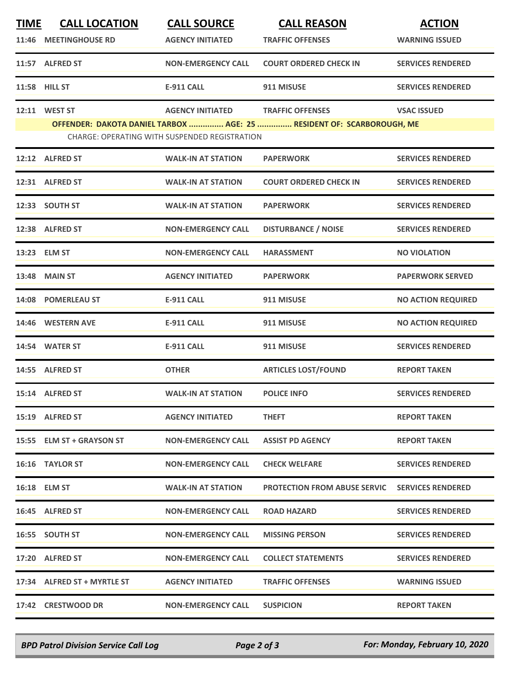| <b>TIME</b> | <b>CALL LOCATION</b><br>11:46 MEETINGHOUSE RD | <b>CALL SOURCE</b><br><b>AGENCY INITIATED</b>        | <b>CALL REASON</b><br><b>TRAFFIC OFFENSES</b>                         | <b>ACTION</b><br><b>WARNING ISSUED</b> |
|-------------|-----------------------------------------------|------------------------------------------------------|-----------------------------------------------------------------------|----------------------------------------|
|             | 11:57 ALFRED ST                               | <b>NON-EMERGENCY CALL</b>                            | <b>COURT ORDERED CHECK IN</b>                                         | <b>SERVICES RENDERED</b>               |
|             | 11:58 HILL ST                                 | <b>E-911 CALL</b>                                    | 911 MISUSE                                                            | <b>SERVICES RENDERED</b>               |
|             | 12:11 WEST ST                                 | <b>AGENCY INITIATED</b>                              | <b>TRAFFIC OFFENSES</b>                                               | <b>VSAC ISSUED</b>                     |
|             |                                               | <b>CHARGE: OPERATING WITH SUSPENDED REGISTRATION</b> | OFFENDER: DAKOTA DANIEL TARBOX  AGE: 25  RESIDENT OF: SCARBOROUGH, ME |                                        |
|             | 12:12 ALFRED ST                               | <b>WALK-IN AT STATION</b>                            | <b>PAPERWORK</b>                                                      | <b>SERVICES RENDERED</b>               |
|             | 12:31 ALFRED ST                               | <b>WALK-IN AT STATION</b>                            | <b>COURT ORDERED CHECK IN</b>                                         | <b>SERVICES RENDERED</b>               |
|             | 12:33 SOUTH ST                                | <b>WALK-IN AT STATION</b>                            | <b>PAPERWORK</b>                                                      | <b>SERVICES RENDERED</b>               |
|             | 12:38 ALFRED ST                               | <b>NON-EMERGENCY CALL</b>                            | <b>DISTURBANCE / NOISE</b>                                            | <b>SERVICES RENDERED</b>               |
|             | 13:23 ELM ST                                  | <b>NON-EMERGENCY CALL</b>                            | <b>HARASSMENT</b>                                                     | <b>NO VIOLATION</b>                    |
|             | 13:48 MAIN ST                                 | <b>AGENCY INITIATED</b>                              | <b>PAPERWORK</b>                                                      | <b>PAPERWORK SERVED</b>                |
|             | 14:08 POMERLEAU ST                            | <b>E-911 CALL</b>                                    | 911 MISUSE                                                            | <b>NO ACTION REQUIRED</b>              |
|             | 14:46 WESTERN AVE                             | <b>E-911 CALL</b>                                    | 911 MISUSE                                                            | <b>NO ACTION REQUIRED</b>              |
|             | 14:54 WATER ST                                | <b>E-911 CALL</b>                                    | 911 MISUSE                                                            | <b>SERVICES RENDERED</b>               |
|             | 14:55 ALFRED ST                               | <b>OTHER</b>                                         | <b>ARTICLES LOST/FOUND</b>                                            | <b>REPORT TAKEN</b>                    |
|             | 15:14 ALFRED ST                               | <b>WALK-IN AT STATION</b>                            | <b>POLICE INFO</b>                                                    | <b>SERVICES RENDERED</b>               |
|             | 15:19 ALFRED ST                               | <b>AGENCY INITIATED</b>                              | <b>THEFT</b>                                                          | <b>REPORT TAKEN</b>                    |
|             | 15:55 ELM ST + GRAYSON ST                     | <b>NON-EMERGENCY CALL</b>                            | <b>ASSIST PD AGENCY</b>                                               | <b>REPORT TAKEN</b>                    |
|             | 16:16 TAYLOR ST                               | <b>NON-EMERGENCY CALL</b>                            | <b>CHECK WELFARE</b>                                                  | <b>SERVICES RENDERED</b>               |
|             | 16:18 ELM ST                                  | <b>WALK-IN AT STATION</b>                            | <b>PROTECTION FROM ABUSE SERVIC</b>                                   | <b>SERVICES RENDERED</b>               |
|             | 16:45 ALFRED ST                               | <b>NON-EMERGENCY CALL</b>                            | <b>ROAD HAZARD</b>                                                    | <b>SERVICES RENDERED</b>               |
|             | 16:55 SOUTH ST                                | <b>NON-EMERGENCY CALL</b>                            | <b>MISSING PERSON</b>                                                 | <b>SERVICES RENDERED</b>               |
|             | 17:20 ALFRED ST                               | <b>NON-EMERGENCY CALL</b>                            | <b>COLLECT STATEMENTS</b>                                             | <b>SERVICES RENDERED</b>               |
|             | 17:34 ALFRED ST + MYRTLE ST                   | <b>AGENCY INITIATED</b>                              | <b>TRAFFIC OFFENSES</b>                                               | <b>WARNING ISSUED</b>                  |
|             | 17:42 CRESTWOOD DR                            | <b>NON-EMERGENCY CALL</b>                            | <b>SUSPICION</b>                                                      | <b>REPORT TAKEN</b>                    |

*BPD Patrol Division Service Call Log Page 2 of 3 For: Monday, February 10, 2020*